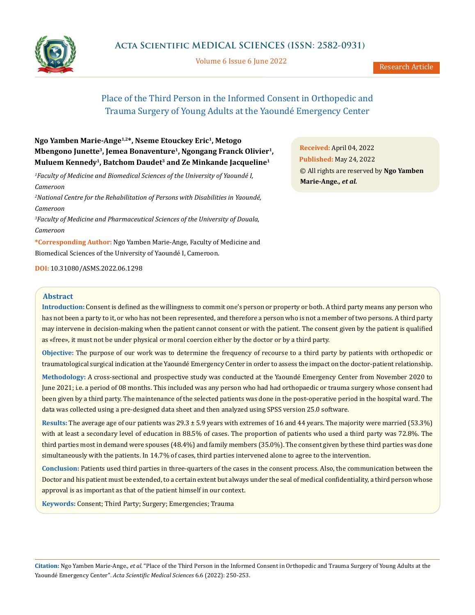

Volume 6 Issue 6 June 2022

# Place of the Third Person in the Informed Consent in Orthopedic and Trauma Surgery of Young Adults at the Yaoundé Emergency Center

## **Ngo Yamben Marie-Ange1,2\*, Nseme Etouckey Eric1, Metogo Mbengono Junette3, Jemea Bonaventure1, Ngongang Franck Olivier1, Muluem Kennedy1, Batchom Daudet3 and Ze Minkande Jacqueline1**

*1 Faculty of Medicine and Biomedical Sciences of the University of Yaoundé I, Cameroon*

*2 National Centre for the Rehabilitation of Persons with Disabilities in Yaoundé, Cameroon*

*3 Faculty of Medicine and Pharmaceutical Sciences of the University of Douala, Cameroon*

**\*Corresponding Author:** Ngo Yamben Marie-Ange, Faculty of Medicine and Biomedical Sciences of the University of Yaoundé I, Cameroon.

**DOI:** [10.31080/ASMS.2022.06.129](http://actascientific.com/ASMS/pdf/ASMS-06-1298.pdf)8

### **Abstract**

**Introduction:** Consent is defined as the willingness to commit one's person or property or both. A third party means any person who has not been a [party](https://www.dictionnaire-juridique.com/definition/partie.php) to it, or who has not been [represented,](https://www.dictionnaire-juridique.com/definition/representation.php) and therefore a person who is not a member of two persons. A third party may intervene in decision-making when the patient cannot consent or with the patient. The consent given by the patient is qualified as «free», it must not be under physical or moral coercion either by the doctor or by a third party.

**Objective:** The purpose of our work was to determine the frequency of recourse to a third party by patients with orthopedic or traumatological surgical indication at the Yaoundé Emergency Center in order to assess the impact on the doctor-patient relationship.

**Methodology:** A cross-sectional and prospective study was conducted at the Yaoundé Emergency Center from November 2020 to June 2021; i.e. a period of 08 months. This included was any person who had had orthopaedic or trauma surgery whose consent had been given by a third party. The maintenance of the selected patients was done in the post-operative period in the hospital ward. The data was collected using a pre-designed data sheet and then analyzed using SPSS version 25.0 software.

**Results:** The average age of our patients was 29.3 ± 5.9 years with extremes of 16 and 44 years. The majority were married (53.3%) with at least a secondary level of education in 88.5% of cases. The proportion of patients who used a third party was 72.8%. The third parties most in demand were spouses (48.4%) and family members (35.0%). The consent given by these third parties was done simultaneously with the patients. In 14.7% of cases, third parties intervened alone to agree to the intervention.

**Conclusion:** Patients used third parties in three-quarters of the cases in the consent process. Also, the communication between the Doctor and his patient must be extended, to a certain extent but always under the seal of medical confidentiality, a third person whose approval is as important as that of the patient himself in our context.

**Keywords:** Consent; Third Party; Surgery; Emergencies; Trauma

**Citation:** Ngo Yamben Marie-Ange*., et al.* "Place of the Third Person in the Informed Consent in Orthopedic and Trauma Surgery of Young Adults at the Yaoundé Emergency Center". *Acta Scientific Medical Sciences* 6.6 (2022): 250-253.

**Received:** April 04, 2022 **Published:** May 24, 2022 © All rights are reserved by **Ngo Yamben Marie-Ange***., et al.*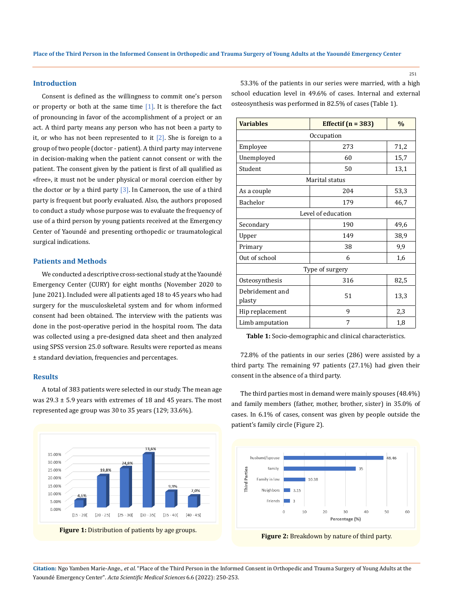#### **Introduction**

Consent is defined as the willingness to commit one's person or property or both at the same time  $[1]$ . It is therefore the fact of pronouncing in favor of the accomplishment of a project or an act. A third party means any person who has not been [a party](https://www.dictionnaire-juridique.com/definition/partie.php) to it, or who has not been [represented](https://www.dictionnaire-juridique.com/definition/representation.php) to it  $[2]$ . She is foreign to a group of two people (doctor - patient). A third party may intervene in decision-making when the patient cannot consent or with the patient. The consent given by the patient is first of all qualified as «free», it must not be under physical or moral coercion either by the doctor or by a third party  $\lceil 3 \rceil$ . In Cameroon, the use of a third party is frequent but poorly evaluated. Also, the authors proposed to conduct a study whose purpose was to evaluate the frequency of use of a third person by young patients received at the Emergency Center of Yaoundé and presenting orthopedic or traumatological surgical indications.

### **Patients and Methods**

We conducted a descriptive cross-sectional study at the Yaoundé Emergency Center (CURY) for eight months (November 2020 to June 2021). Included were all patients aged 18 to 45 years who had surgery for the musculoskeletal system and for whom informed consent had been obtained. The interview with the patients was done in the post-operative period in the hospital room. The data was collected using a pre-designed data sheet and then analyzed using SPSS version 25.0 software. Results were reported as means ± standard deviation, frequencies and percentages.

### **Results**

A total of 383 patients were selected in our study. The mean age was  $29.3 \pm 5.9$  years with extremes of 18 and 45 years. The most represented age group was 30 to 35 years (129; 33.6%).



53.3% of the patients in our series were married, with a high school education level in 49.6% of cases. Internal and external osteosynthesis was performed in 82.5% of cases (Table 1).

| <b>Variables</b>          | Effectif $(n = 383)$ | $\%$ |
|---------------------------|----------------------|------|
| Occupation                |                      |      |
| Employee                  | 273                  | 71,2 |
| Unemployed                | 60                   | 15,7 |
| Student                   | 50                   | 13,1 |
| Marital status            |                      |      |
| As a couple               | 204                  | 53,3 |
| <b>Bachelor</b>           | 179                  | 46,7 |
| Level of education        |                      |      |
| Secondary                 | 190                  | 49,6 |
| Upper                     | 149                  | 38,9 |
| Primary                   | 38                   | 9,9  |
| Out of school             | 6                    | 1,6  |
| Type of surgery           |                      |      |
| Osteosynthesis            | 316                  | 82,5 |
| Debridement and<br>plasty | 51                   | 13,3 |
| Hip replacement           | 9                    | 2,3  |
| Limb amputation           | 7                    | 1,8  |

**Table 1:** Socio-demographic and clinical characteristics.

72.8% of the patients in our series (286) were assisted by a third party. The remaining 97 patients (27.1%) had given their consent in the absence of a third party.

The third parties most in demand were mainly spouses (48.4%) and family members (father, mother, brother, sister) in 35.0% of cases. In 6.1% of cases, consent was given by people outside the patient's family circle (Figure 2).





**Citation:** Ngo Yamben Marie-Ange*., et al.* "Place of the Third Person in the Informed Consent in Orthopedic and Trauma Surgery of Young Adults at the Yaoundé Emergency Center". *Acta Scientific Medical Sciences* 6.6 (2022): 250-253.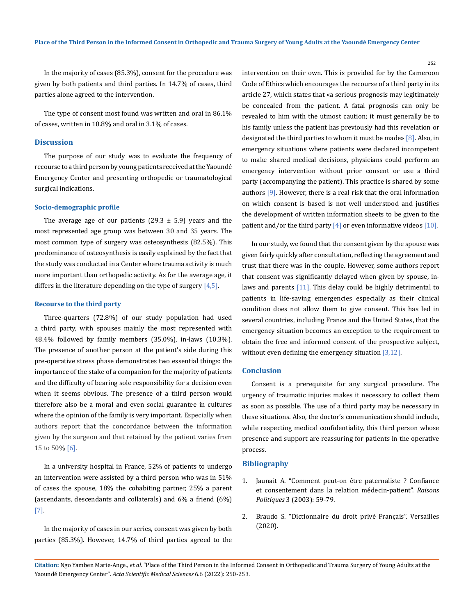In the majority of cases (85.3%), consent for the procedure was given by both patients and third parties. In 14.7% of cases, third parties alone agreed to the intervention.

The type of consent most found was written and oral in 86.1% of cases, written in 10.8% and oral in 3.1% of cases.

## **Discussion**

The purpose of our study was to evaluate the frequency of recourse to a third person by young patients received at the Yaoundé Emergency Center and presenting orthopedic or traumatological surgical indications.

## **Socio-demographic profile**

The average age of our patients (29.3  $\pm$  5.9) years and the most represented age group was between 30 and 35 years. The most common type of surgery was osteosynthesis (82.5%). This predominance of osteosynthesis is easily explained by the fact that the study was conducted in a Center where trauma activity is much more important than orthopedic activity. As for the average age, it differs in the literature depending on the type of surgery  $[4,5]$ .

#### **Recourse to the third party**

Three-quarters (72.8%) of our study population had used a third party, with spouses mainly the most represented with 48.4% followed by family members (35.0%), in-laws (10.3%). The presence of another person at the patient's side during this pre-operative stress phase demonstrates two essential things: the importance of the stake of a companion for the majority of patients and the difficulty of bearing sole responsibility for a decision even when it seems obvious. The presence of a third person would therefore also be a moral and even social guarantee in cultures where the opinion of the family is very important. Especially when authors report that the concordance between the information given by the surgeon and that retained by the patient varies from 15 to 50% [6].

In a university hospital in France, 52% of patients to undergo an intervention were assisted by a third person who was in 51% of cases the spouse, 18% the cohabiting partner, 25% a parent (ascendants, descendants and collaterals) and 6% a friend (6%) [7].

In the majority of cases in our series, consent was given by both parties (85.3%). However, 14.7% of third parties agreed to the intervention on their own. This is provided for by the Cameroon Code of Ethics which encourages the recourse of a third party in its article 27, which states that «a serious prognosis may legitimately be concealed from the patient. A fatal prognosis can only be revealed to him with the utmost caution; it must generally be to his family unless the patient has previously had this revelation or designated the third parties to whom it must be made» [8]. Also, in emergency situations where patients were declared incompetent to make shared medical decisions, physicians could perform an emergency intervention without prior consent or use a third party (accompanying the patient). This practice is shared by some authors [9]. However, there is a real risk that the oral information on which consent is based is not well understood and justifies the development of written information sheets to be given to the patient and/or the third party  $[4]$  or even informative videos  $[10]$ .

In our study, we found that the consent given by the spouse was given fairly quickly after consultation, reflecting the agreement and trust that there was in the couple. However, some authors report that consent was significantly delayed when given by spouse, inlaws and parents [11]. This delay could be highly detrimental to patients in life-saving emergencies especially as their clinical condition does not allow them to give consent. This has led in several countries, including France and the United States, that the emergency situation becomes an exception to the requirement to obtain the free and informed consent of the prospective subject, without even defining the emergency situation [3,12].

### **Conclusion**

Consent is a prerequisite for any surgical procedure. The urgency of traumatic injuries makes it necessary to collect them as soon as possible. The use of a third party may be necessary in these situations. Also, the doctor's communication should include, while respecting medical confidentiality, this third person whose presence and support are reassuring for patients in the operative process.

#### **Bibliography**

- 1. [Jaunait A. "Comment peut-on être paternaliste ? Confiance](https://www.cairn.info/revue-raisons-politiques-2003-3-page-59.htm) [et consentement dans la relation médecin-patient".](https://www.cairn.info/revue-raisons-politiques-2003-3-page-59.htm) *Raisons Politiques* [3 \(2003\): 59-79.](https://www.cairn.info/revue-raisons-politiques-2003-3-page-59.htm)
- 2. Braudo S. "Dictionnaire du droit privé Français". Versailles (2020).

252

**Citation:** Ngo Yamben Marie-Ange*., et al.* "Place of the Third Person in the Informed Consent in Orthopedic and Trauma Surgery of Young Adults at the Yaoundé Emergency Center". *Acta Scientific Medical Sciences* 6.6 (2022): 250-253.